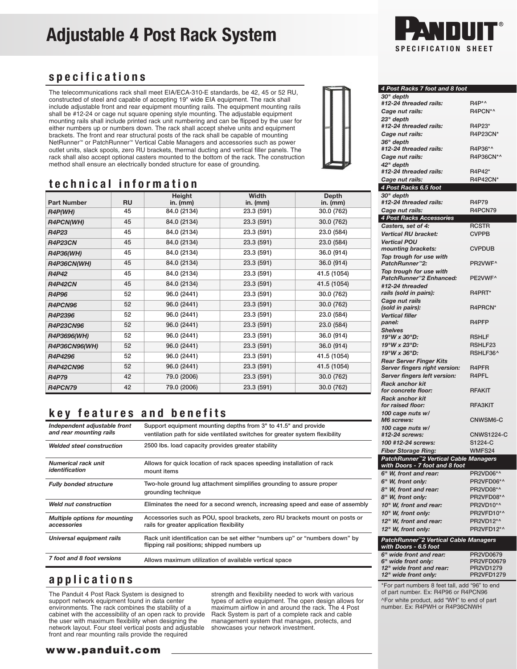# Adjustable 4 Post Rack System



#### specifications

The telecommunications rack shall meet EIA/ECA-310-E standards, be 42, 45 or 52 RU, constructed of steel and capable of accepting 19" wide EIA equipment. The rack shall include adjustable front and rear equipment mounting rails. The equipment mounting rails shall be #12-24 or cage nut square opening style mounting. The adjustable equipment mounting rails shall include printed rack unit numbering and can be flipped by the user for either numbers up or numbers down. The rack shall accept shelve units and equipment brackets. The front and rear structural posts of the rack shall be capable of mounting NetRunner™ or PatchRunner™ Vertical Cable Managers and accessories such as power outlet units, slack spools, zero RU brackets, thermal ducting and vertical filler panels. The rack shall also accept optional casters mounted to the bottom of the rack. The construction method shall ensure an electrically bonded structure for ease of grounding.



### technical information

|                    |           | Height      | Width      | Depth       |
|--------------------|-----------|-------------|------------|-------------|
| <b>Part Number</b> | <b>RU</b> | in. $(mm)$  | in. $(mm)$ | in. (mm)    |
| R4P(WH)            | 45        | 84.0 (2134) | 23.3 (591) | 30.0 (762)  |
| <b>R4PCN(WH)</b>   | 45        | 84.0 (2134) | 23.3 (591) | 30.0 (762)  |
| <b>R4P23</b>       | 45        | 84.0 (2134) | 23.3 (591) | 23.0 (584)  |
| <b>R4P23CN</b>     | 45        | 84.0 (2134) | 23.3 (591) | 23.0 (584)  |
| <b>R4P36(WH)</b>   | 45        | 84.0 (2134) | 23.3 (591) | 36.0 (914)  |
| R4P36CN(WH)        | 45        | 84.0 (2134) | 23.3 (591) | 36.0 (914)  |
| <b>R4P42</b>       | 45        | 84.0 (2134) | 23.3 (591) | 41.5 (1054) |
| <b>R4P42CN</b>     | 45        | 84.0 (2134) | 23.3 (591) | 41.5 (1054) |
| <b>R4P96</b>       | 52        | 96.0 (2441) | 23.3 (591) | 30.0 (762)  |
| R4PCN96            | 52        | 96.0 (2441) | 23.3 (591) | 30.0 (762)  |
| R4P2396            | 52        | 96.0 (2441) | 23.3 (591) | 23.0 (584)  |
| <b>R4P23CN96</b>   | 52        | 96.0 (2441) | 23.3 (591) | 23.0 (584)  |
| R4P3696(WH)        | 52        | 96.0 (2441) | 23.3 (591) | 36.0 (914)  |
| R4P36CN96(WH)      | 52        | 96.0 (2441) | 23.3 (591) | 36.0 (914)  |
| R4P4296            | 52        | 96.0 (2441) | 23.3 (591) | 41.5 (1054) |
| <b>R4P42CN96</b>   | 52        | 96.0 (2441) | 23.3 (591) | 41.5 (1054) |
| <b>R4P79</b>       | 42        | 79.0 (2006) | 23.3 (591) | 30.0 (762)  |
| R4PCN79            | 42        | 79.0 (2006) | 23.3 (591) | 30.0 (762)  |

## key features and benefits

| Independent adjustable front<br>and rear mounting rails | Support equipment mounting depths from 3" to 41.5" and provide<br>ventilation path for side ventilated switches for greater system flexibility |
|---------------------------------------------------------|------------------------------------------------------------------------------------------------------------------------------------------------|
| <b>Welded steel construction</b>                        | 2500 lbs. load capacity provides greater stability                                                                                             |
| <b>Numerical rack unit</b><br>identification            | Allows for quick location of rack spaces speeding installation of rack<br>mount items                                                          |
| <b>Fully bonded structure</b>                           | Two-hole ground lug attachment simplifies grounding to assure proper<br>grounding technique                                                    |
| <b>Weld nut construction</b>                            | Eliminates the need for a second wrench, increasing speed and ease of assembly                                                                 |
| <b>Multiple options for mounting</b><br>accessories     | Accessories such as POU, spool brackets, zero RU brackets mount on posts or<br>rails for greater application flexibility                       |
| Universal equipment rails                               | Rack unit identification can be set either "numbers up" or "numbers down" by<br>flipping rail positions; shipped numbers up                    |
| 7 foot and 8 foot versions                              | Allows maximum utilization of available vertical space                                                                                         |

#### applications

The Panduit 4 Post Rack System is designed to support network equipment found in data center environments. The rack combines the stability of a cabinet with the accessibility of an open rack to provide the user with maximum flexibility when designing the network layout. Four steel vertical posts and adjustable front and rear mounting rails provide the required

strength and flexibility needed to work with various types of active equipment. The open design allows for maximum airflow in and around the rack. The 4 Post Rack System is part of a complete rack and cable management system that manages, protects, and showcases your network investment.

| 4 Post Racks 7 foot and 8 foot                                  |                         |  |  |  |
|-----------------------------------------------------------------|-------------------------|--|--|--|
| 30" depth<br>#12-24 threaded rails:                             | $R4P^*$                 |  |  |  |
| Cage nut rails:                                                 | R4PCN*^                 |  |  |  |
| 23" depth                                                       |                         |  |  |  |
| #12-24 threaded rails:                                          | R4P23*                  |  |  |  |
| Cage nut rails:                                                 | R4P23CN*                |  |  |  |
| 36" depth                                                       |                         |  |  |  |
| #12-24 threaded rails:                                          | R4P36*^                 |  |  |  |
| Cage nut rails:                                                 | R4P36CN*^               |  |  |  |
| 42" depth                                                       |                         |  |  |  |
| #12-24 threaded rails:                                          | R4P42*                  |  |  |  |
| Cage nut rails:                                                 | <b>R4P42CN*</b>         |  |  |  |
| 4 Post Racks 6.5 foot                                           |                         |  |  |  |
| 30" depth<br>#12-24 threaded rails:                             | R4P79                   |  |  |  |
| Cage nut rails:                                                 | R4PCN79                 |  |  |  |
| 4 Post Racks Accessories                                        |                         |  |  |  |
| Casters, set of 4:                                              | <b>RCSTR</b>            |  |  |  |
| <b>Vertical RU bracket:</b>                                     | <b>CVPPB</b>            |  |  |  |
| <b>Vertical POU</b>                                             |                         |  |  |  |
| mounting brackets:                                              | <b>CVPDUB</b>           |  |  |  |
| Top trough for use with                                         |                         |  |  |  |
| PatchRunner™2:                                                  | PR2VWF <sup>^</sup>     |  |  |  |
| Top trough for use with<br>PatchRunner <sup>™</sup> 2 Enhanced: | PE2VWF^                 |  |  |  |
| #12-24 threaded                                                 |                         |  |  |  |
| rails (sold in pairs):                                          | R4PRT*                  |  |  |  |
| Cage nut rails                                                  |                         |  |  |  |
| (sold in pairs):                                                | R4PRCN*                 |  |  |  |
| <b>Vertical filler</b>                                          |                         |  |  |  |
| panel:                                                          | R <sub>4</sub> PFP      |  |  |  |
| <b>Shelves</b>                                                  |                         |  |  |  |
| 19"W x 30"D:<br>19"W x 23"D:                                    | <b>RSHLF</b><br>RSHLF23 |  |  |  |
| 19"W x 36"D:                                                    | RSHLF36^                |  |  |  |
| <b>Rear Server Finger Kits</b>                                  |                         |  |  |  |
| Server fingers right version:                                   | R <sub>4</sub> PFR      |  |  |  |
| Server fingers left version:                                    | R4PFL                   |  |  |  |
| <b>Rack anchor kit</b>                                          |                         |  |  |  |
| for concrete floor:                                             | <b>RFAKIT</b>           |  |  |  |
| <b>Rack anchor kit</b>                                          |                         |  |  |  |
| for raised floor:                                               | <b>RFA3KIT</b>          |  |  |  |
| 100 cage nuts w/<br>M6 screws:                                  | CNWSM6-C                |  |  |  |
| 100 cage nuts w/                                                |                         |  |  |  |
| #12-24 screws:                                                  | <b>CNWS1224-C</b>       |  |  |  |
| 100 #12-24 screws:                                              | S1224-C                 |  |  |  |
| Fiber Storage Ring:                                             | WMFS24                  |  |  |  |
| PatchRunner™2 Vertical Cable Managers                           |                         |  |  |  |
| with Doors - 7 foot and 8 foot                                  |                         |  |  |  |
| 6" W, front and rear:                                           | PR2VD06*^               |  |  |  |
| 6" W, front only:                                               | PR2VFD06*^              |  |  |  |
| 8" W, front and rear:                                           | PR2VD08*^               |  |  |  |
| 8" W, front only:                                               | PR2VFD08*^              |  |  |  |
| 10" W, front and rear:<br>10" W, front only:                    | PR2VD10*^<br>PR2VFD10*^ |  |  |  |
| 12" W, front and rear:                                          | PR2VD12*^               |  |  |  |
| 12" W, front only:                                              | PR2VFD12*^              |  |  |  |
|                                                                 |                         |  |  |  |
| PatchRunner"2 Vertical Cable Managers<br>with Doors - 6.5 foot  |                         |  |  |  |
| 6" wide front and rear:                                         | PR2VD0679               |  |  |  |
| 6" wide front only:                                             | <b>PR2VFD0679</b>       |  |  |  |
| 12" wide front and rear:                                        | PR2VD1279               |  |  |  |
| 12" wide front only:                                            | PR2VFD1279              |  |  |  |
| *For part numbers 8 feet tall, add "96" to end                  |                         |  |  |  |
| of part number. Ex: R4P96 or R4PCN96                            |                         |  |  |  |

^For white product, add "WH" to end of part number. Ex: R4PWH or R4P36CNWH